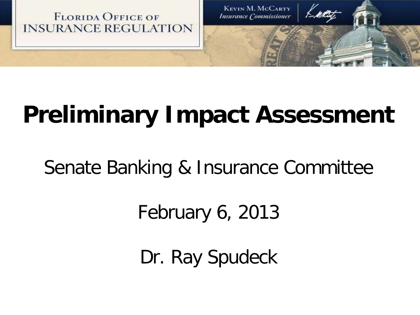

# **Preliminary Impact Assessment**

Senate Banking & Insurance Committee

February 6, 2013

Dr. Ray Spudeck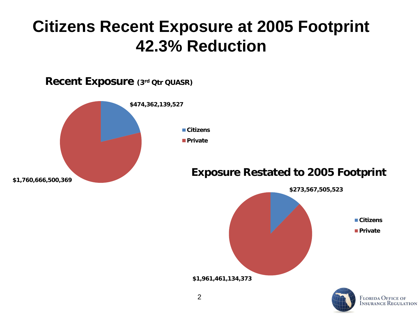## **Citizens Recent Exposure at 2005 Footprint 42.3% Reduction**

**Recent Exposure (3rd Qtr QUASR)** 



#### **Exposure Restated to 2005 Footprint**



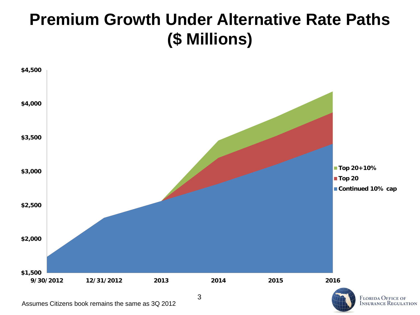## **Premium Growth Under Alternative Rate Paths (\$ Millions)**



Assumes Citizens book remains the same as 3Q 2012

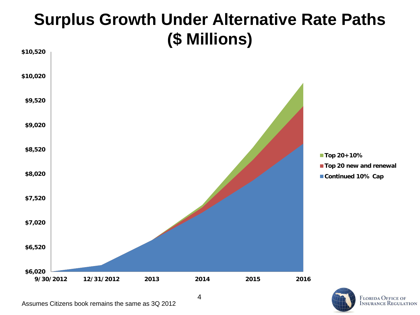## **Surplus Growth Under Alternative Rate Paths (\$ Millions)**



Assumes Citizens book remains the same as 3Q 2012

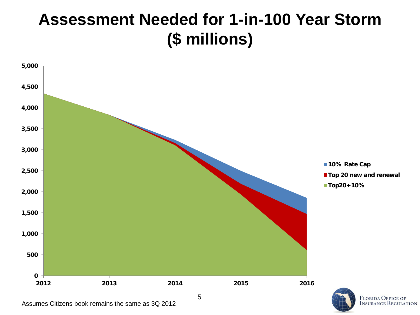#### **Assessment Needed for 1-in-100 Year Storm (\$ millions)**



Assumes Citizens book remains the same as 3Q 2012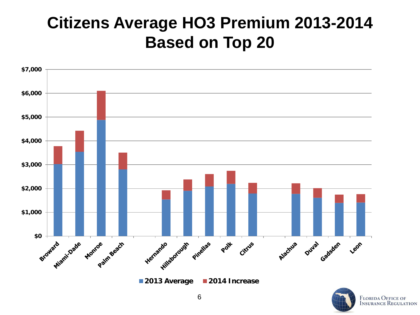## **Citizens Average HO3 Premium 2013-2014 Based on Top 20**



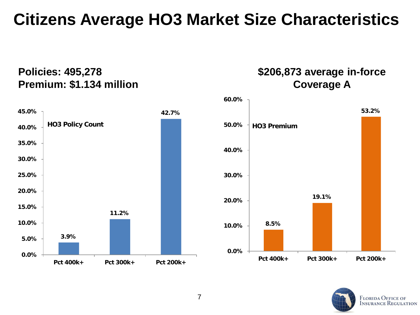#### **Citizens Average HO3 Market Size Characteristics**

#### **Policies: 495,278 Premium: \$1.134 million**

**\$206,873 average in-force Coverage A**





**53.2%**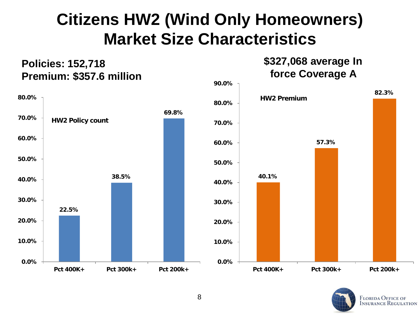## **Citizens HW2 (Wind Only Homeowners) Market Size Characteristics**

**Policies: 152,718** 

#### **22.5% 38.5% 69.8% 0.0% 10.0% 20.0% 30.0% 40.0% 50.0% 60.0% 70.0% 80.0% Pct 400K+ Pct 300k+ Pct 200k+ HW2 Policy count 40.1% 57.3% 82.3% 0.0% 10.0% 20.0% 30.0% 40.0% 50.0% 60.0% 70.0% 80.0% 90.0% Pct 400K+ Pct 300k+ Pct 200k+ HW2 Premium Premium: \$357.6 million force Coverage A**



**\$327,068 average In**